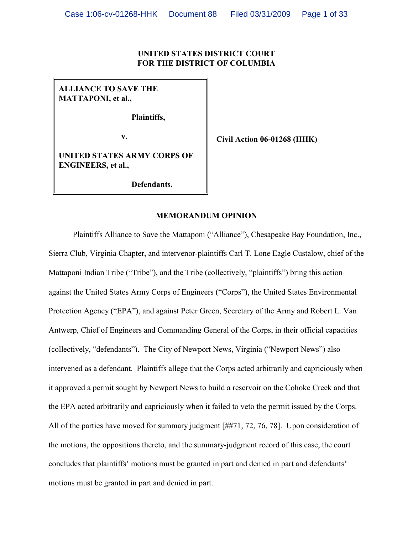### **UNITED STATES DISTRICT COURT FOR THE DISTRICT OF COLUMBIA**

**ALLIANCE TO SAVE THE MATTAPONI, et al.,**

**Plaintiffs,**

**v.**

**Civil Action 06-01268 (HHK)**

**UNITED STATES ARMY CORPS OF ENGINEERS, et al.,**

**Defendants.**

### **MEMORANDUM OPINION**

Plaintiffs Alliance to Save the Mattaponi ("Alliance"), Chesapeake Bay Foundation, Inc., Sierra Club, Virginia Chapter, and intervenor-plaintiffs Carl T. Lone Eagle Custalow, chief of the Mattaponi Indian Tribe ("Tribe"), and the Tribe (collectively, "plaintiffs") bring this action against the United States Army Corps of Engineers ("Corps"), the United States Environmental Protection Agency ("EPA"), and against Peter Green, Secretary of the Army and Robert L. Van Antwerp, Chief of Engineers and Commanding General of the Corps, in their official capacities (collectively, "defendants"). The City of Newport News, Virginia ("Newport News") also intervened as a defendant.Plaintiffs allege that the Corps acted arbitrarily and capriciously when it approved a permit sought by Newport News to build a reservoir on the Cohoke Creek and that the EPA acted arbitrarily and capriciously when it failed to veto the permit issued by the Corps. All of the parties have moved for summary judgment [##71, 72, 76, 78]. Upon consideration of the motions, the oppositions thereto, and the summary-judgment record of this case, the court concludes that plaintiffs' motions must be granted in part and denied in part and defendants' motions must be granted in part and denied in part.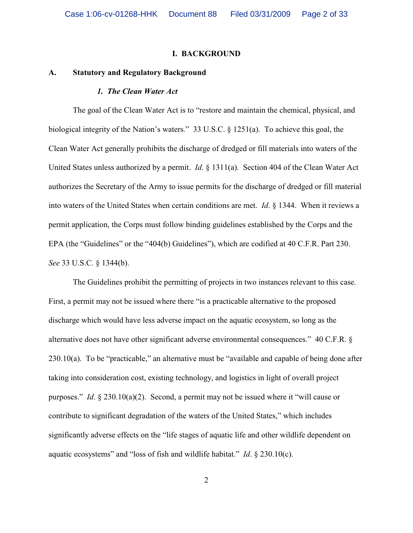#### **I. BACKGROUND**

#### **A. Statutory and Regulatory Background**

#### *1. The Clean Water Act*

The goal of the Clean Water Act is to "restore and maintain the chemical, physical, and biological integrity of the Nation's waters." 33 U.S.C. § 1251(a). To achieve this goal, the Clean Water Act generally prohibits the discharge of dredged or fill materials into waters of the United States unless authorized by a permit. *Id*. § 1311(a). Section 404 of the Clean Water Act authorizes the Secretary of the Army to issue permits for the discharge of dredged or fill material into waters of the United States when certain conditions are met. *Id*. § 1344. When it reviews a permit application, the Corps must follow binding guidelines established by the Corps and the EPA (the "Guidelines" or the "404(b) Guidelines"), which are codified at 40 C.F.R. Part 230. *See* 33 U.S.C. § 1344(b).

The Guidelines prohibit the permitting of projects in two instances relevant to this case. First, a permit may not be issued where there "is a practicable alternative to the proposed discharge which would have less adverse impact on the aquatic ecosystem, so long as the alternative does not have other significant adverse environmental consequences."40 C.F.R. § 230.10(a). To be "practicable," an alternative must be "available and capable of being done after taking into consideration cost, existing technology, and logistics in light of overall project purposes." *Id*. § 230.10(a)(2). Second, a permit may not be issued where it "will cause or contribute to significant degradation of the waters of the United States," which includes significantly adverse effects on the "life stages of aquatic life and other wildlife dependent on aquatic ecosystems" and "loss of fish and wildlife habitat." *Id*. § 230.10(c).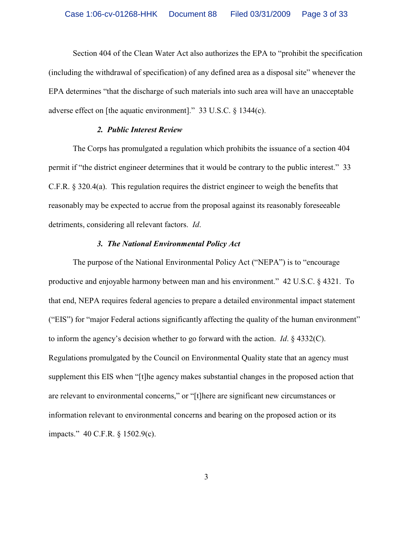Section 404 of the Clean Water Act also authorizes the EPA to "prohibit the specification (including the withdrawal of specification) of any defined area as a disposal site" whenever the EPA determines "that the discharge of such materials into such area will have an unacceptable adverse effect on [the aquatic environment]." 33 U.S.C. § 1344(c).

### *2. Public Interest Review*

The Corps has promulgated a regulation which prohibits the issuance of a section 404 permit if "the district engineer determines that it would be contrary to the public interest." 33 C.F.R. § 320.4(a). This regulation requires the district engineer to weigh the benefits that reasonably may be expected to accrue from the proposal against its reasonably foreseeable detriments, considering all relevant factors. *Id*.

### *3. The National Environmental Policy Act*

The purpose of the National Environmental Policy Act ("NEPA") is to "encourage productive and enjoyable harmony between man and his environment." 42 U.S.C. § 4321. To that end, NEPA requires federal agencies to prepare a detailed environmental impact statement ("EIS") for "major Federal actions significantly affecting the quality of the human environment" to inform the agency's decision whether to go forward with the action. *Id*. § 4332(C). Regulations promulgated by the Council on Environmental Quality state that an agency must supplement this EIS when "[t]he agency makes substantial changes in the proposed action that are relevant to environmental concerns," or "[t]here are significant new circumstances or information relevant to environmental concerns and bearing on the proposed action or its impacts." 40 C.F.R. § 1502.9(c).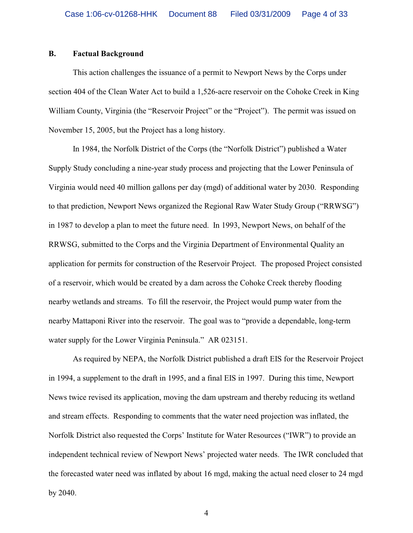## **B. Factual Background**

This action challenges the issuance of a permit to Newport News by the Corps under section 404 of the Clean Water Act to build a 1,526-acre reservoir on the Cohoke Creek in King William County, Virginia (the "Reservoir Project" or the "Project"). The permit was issued on November 15, 2005, but the Project has a long history.

In 1984, the Norfolk District of the Corps (the "Norfolk District") published a Water Supply Study concluding a nine-year study process and projecting that the Lower Peninsula of Virginia would need 40 million gallons per day (mgd) of additional water by 2030. Responding to that prediction, Newport News organized the Regional Raw Water Study Group ("RRWSG") in 1987 to develop a plan to meet the future need.In 1993, Newport News, on behalf of the RRWSG, submitted to the Corps and the Virginia Department of Environmental Quality an application for permits for construction of the Reservoir Project. The proposed Project consisted of a reservoir, which would be created by a dam across the Cohoke Creek thereby flooding nearby wetlands and streams. To fill the reservoir, the Project would pump water from the nearby Mattaponi River into the reservoir. The goal was to "provide a dependable, long-term water supply for the Lower Virginia Peninsula." AR 023151.

As required by NEPA, the Norfolk District published a draft EIS for the Reservoir Project in 1994, a supplement to the draft in 1995, and a final EIS in 1997. During this time, Newport News twice revised its application, moving the dam upstream and thereby reducing its wetland and stream effects. Responding to comments that the water need projection was inflated, the Norfolk District also requested the Corps' Institute for Water Resources ("IWR") to provide an independent technical review of Newport News' projected water needs. The IWR concluded that the forecasted water need was inflated by about 16 mgd, making the actual need closer to 24 mgd by 2040.

4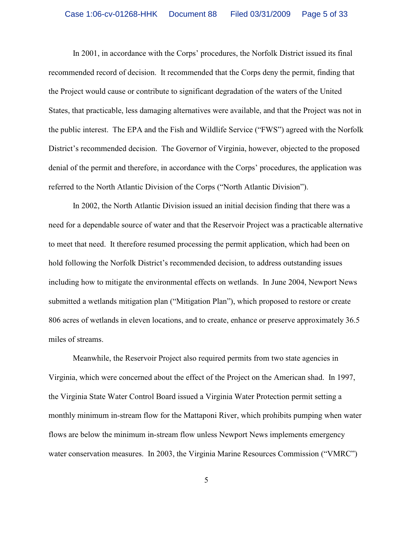In 2001, in accordance with the Corps' procedures, the Norfolk District issued its final recommended record of decision. It recommended that the Corps deny the permit, finding that the Project would cause or contribute to significant degradation of the waters of the United States, that practicable, less damaging alternatives were available, and that the Project was not in the public interest. The EPA and the Fish and Wildlife Service ("FWS") agreed with the Norfolk District's recommended decision. The Governor of Virginia, however, objected to the proposed denial of the permit and therefore, in accordance with the Corps' procedures, the application was referred to the North Atlantic Division of the Corps ("North Atlantic Division").

In 2002, the North Atlantic Division issued an initial decision finding that there was a need for a dependable source of water and that the Reservoir Project was a practicable alternative to meet that need. It therefore resumed processing the permit application, which had been on hold following the Norfolk District's recommended decision, to address outstanding issues including how to mitigate the environmental effects on wetlands. In June 2004, Newport News submitted a wetlands mitigation plan ("Mitigation Plan"), which proposed to restore or create 806 acres of wetlands in eleven locations, and to create, enhance or preserve approximately 36.5 miles of streams.

Meanwhile, the Reservoir Project also required permits from two state agencies in Virginia, which were concerned about the effect of the Project on the American shad. In 1997, the Virginia State Water Control Board issued a Virginia Water Protection permit setting a monthly minimum in-stream flow for the Mattaponi River, which prohibits pumping when water flows are below the minimum in-stream flow unless Newport News implements emergency water conservation measures. In 2003, the Virginia Marine Resources Commission ("VMRC")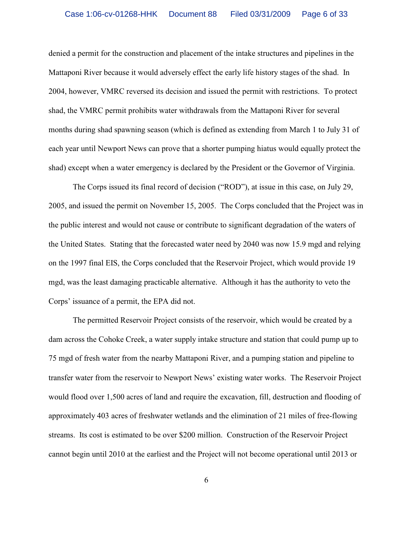denied a permit for the construction and placement of the intake structures and pipelines in the Mattaponi River because it would adversely effect the early life history stages of the shad. In 2004, however, VMRC reversed its decision and issued the permit with restrictions. To protect shad, the VMRC permit prohibits water withdrawals from the Mattaponi River for several months during shad spawning season (which is defined as extending from March 1 to July 31 of each year until Newport News can prove that a shorter pumping hiatus would equally protect the shad) except when a water emergency is declared by the President or the Governor of Virginia.

The Corps issued its final record of decision ("ROD"), at issue in this case, on July 29, 2005, and issued the permit on November 15, 2005. The Corps concluded that the Project was in the public interest and would not cause or contribute to significant degradation of the waters of the United States. Stating that the forecasted water need by 2040 was now 15.9 mgd and relying on the 1997 final EIS, the Corps concluded that the Reservoir Project, which would provide 19 mgd, was the least damaging practicable alternative. Although it has the authority to veto the Corps' issuance of a permit, the EPA did not.

The permitted Reservoir Project consists of the reservoir, which would be created by a dam across the Cohoke Creek, a water supply intake structure and station that could pump up to 75 mgd of fresh water from the nearby Mattaponi River, and a pumping station and pipeline to transfer water from the reservoir to Newport News' existing water works.The Reservoir Project would flood over 1,500 acres of land and require the excavation, fill, destruction and flooding of approximately 403 acres of freshwater wetlands and the elimination of 21 miles of free-flowing streams.Its cost is estimated to be over \$200 million.Construction of the Reservoir Project cannot begin until 2010 at the earliest and the Project will not become operational until 2013 or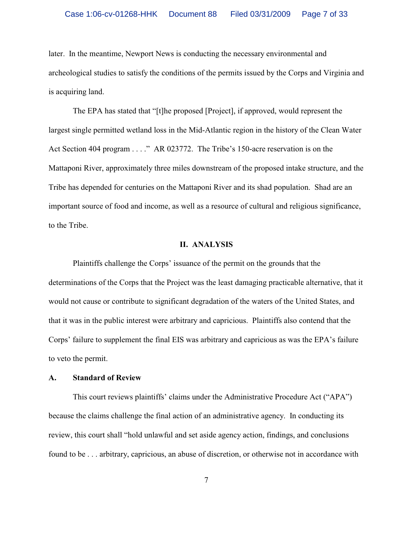later.In the meantime, Newport News is conducting the necessary environmental and archeological studies to satisfy the conditions of the permits issued by the Corps and Virginia and is acquiring land.

The EPA has stated that "[t]he proposed [Project], if approved, would represent the largest single permitted wetland loss in the Mid-Atlantic region in the history of the Clean Water Act Section 404 program . . . ." AR 023772. The Tribe's 150-acre reservation is on the Mattaponi River, approximately three miles downstream of the proposed intake structure, and the Tribe has depended for centuries on the Mattaponi River and its shad population. Shad are an important source of food and income, as well as a resource of cultural and religious significance, to the Tribe.

### **II. ANALYSIS**

Plaintiffs challenge the Corps' issuance of the permit on the grounds that the determinations of the Corps that the Project was the least damaging practicable alternative, that it would not cause or contribute to significant degradation of the waters of the United States, and that it was in the public interest were arbitrary and capricious. Plaintiffs also contend that the Corps' failure to supplement the final EIS was arbitrary and capricious as was the EPA's failure to veto the permit.

### **A. Standard of Review**

This court reviews plaintiffs' claims under the Administrative Procedure Act ("APA") because the claims challenge the final action of an administrative agency. In conducting its review, this court shall "hold unlawful and set aside agency action, findings, and conclusions found to be . . . arbitrary, capricious, an abuse of discretion, or otherwise not in accordance with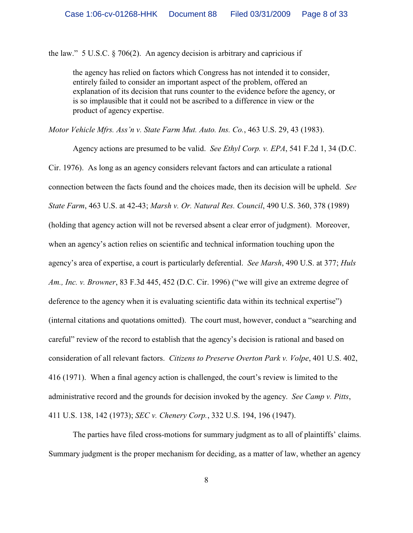the law." 5 U.S.C. § 706(2). An agency decision is arbitrary and capricious if

the agency has relied on factors which Congress has not intended it to consider, entirely failed to consider an important aspect of the problem, offered an explanation of its decision that runs counter to the evidence before the agency, or is so implausible that it could not be ascribed to a difference in view or the product of agency expertise.

*Motor Vehicle Mfrs. Ass'n v. State Farm Mut. Auto. Ins. Co.*, 463 U.S. 29, 43 (1983).

Agency actions are presumed to be valid. *See Ethyl Corp. v. EPA*, 541 F.2d 1, 34 (D.C. Cir. 1976). As long as an agency considers relevant factors and can articulate a rational connection between the facts found and the choices made, then its decision will be upheld. *See State Farm*, 463 U.S. at 42-43; *Marsh v. Or. Natural Res. Council*, 490 U.S. 360, 378 (1989) (holding that agency action will not be reversed absent a clear error of judgment). Moreover, when an agency's action relies on scientific and technical information touching upon the agency's area of expertise, a court is particularly deferential. *See Marsh*, 490 U.S. at 377; *Huls Am., Inc. v. Browner*, 83 F.3d 445, 452 (D.C. Cir. 1996) ("we will give an extreme degree of deference to the agency when it is evaluating scientific data within its technical expertise") (internal citations and quotations omitted). The court must, however, conduct a "searching and careful" review of the record to establish that the agency's decision is rational and based on consideration of all relevant factors. *Citizens to Preserve Overton Park v. Volpe*, 401 U.S. 402, 416 (1971). When a final agency action is challenged, the court's review is limited to the administrative record and the grounds for decision invoked by the agency. *See Camp v. Pitts*, 411 U.S. 138, 142 (1973); *SEC v. Chenery Corp.*, 332 U.S. 194, 196 (1947).

The parties have filed cross-motions for summary judgment as to all of plaintiffs' claims. Summary judgment is the proper mechanism for deciding, as a matter of law, whether an agency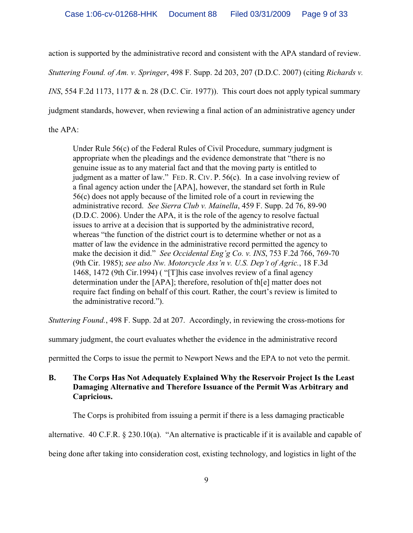action is supported by the administrative record and consistent with the APA standard of review.

*Stuttering Found. of Am. v. Springer*, 498 F. Supp. 2d 203, 207 (D.D.C. 2007) (citing *Richards v.*

*INS*, 554 F.2d 1173, 1177 & n. 28 (D.C. Cir. 1977)). This court does not apply typical summary

judgment standards, however, when reviewing a final action of an administrative agency under

the APA:

Under Rule 56(c) of the Federal Rules of Civil Procedure, summary judgment is appropriate when the pleadings and the evidence demonstrate that "there is no genuine issue as to any material fact and that the moving party is entitled to judgment as a matter of law." FED. R. CIV. P. 56(c). In a case involving review of a final agency action under the [APA], however, the standard set forth in Rule 56(c) does not apply because of the limited role of a court in reviewing the administrative record. *See Sierra Club v. Mainella*, 459 F. Supp. 2d 76, 89-90 (D.D.C. 2006). Under the APA, it is the role of the agency to resolve factual issues to arrive at a decision that is supported by the administrative record, whereas "the function of the district court is to determine whether or not as a matter of law the evidence in the administrative record permitted the agency to make the decision it did." *See Occidental Eng'g Co. v. INS*, 753 F.2d 766, 769-70 (9th Cir. 1985); *see also Nw. Motorcycle Ass'n v. U.S. Dep't of Agric.*, 18 F.3d 1468, 1472 (9th Cir.1994) ( "[T]his case involves review of a final agency determination under the [APA]; therefore, resolution of th[e] matter does not require fact finding on behalf of this court. Rather, the court's review is limited to the administrative record.").

*Stuttering Found.*, 498 F. Supp. 2d at 207. Accordingly, in reviewing the cross-motions for

summary judgment, the court evaluates whether the evidence in the administrative record

permitted the Corps to issue the permit to Newport News and the EPA to not veto the permit.

# **B. The Corps Has Not Adequately Explained Why the Reservoir Project Is the Least Damaging Alternative and Therefore Issuance of the Permit Was Arbitrary and Capricious.**

The Corps is prohibited from issuing a permit if there is a less damaging practicable

alternative. 40 C.F.R. § 230.10(a). "An alternative is practicable if it is available and capable of

being done after taking into consideration cost, existing technology, and logistics in light of the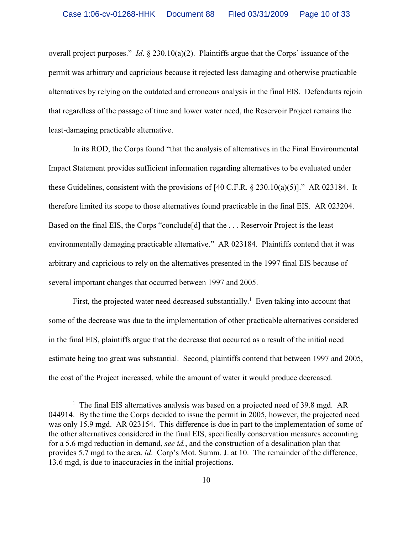overall project purposes." *Id*. § 230.10(a)(2). Plaintiffs argue that the Corps' issuance of the permit was arbitrary and capricious because it rejected less damaging and otherwise practicable alternatives by relying on the outdated and erroneous analysis in the final EIS. Defendants rejoin that regardless of the passage of time and lower water need, the Reservoir Project remains the least-damaging practicable alternative.

In its ROD, the Corps found "that the analysis of alternatives in the Final Environmental Impact Statement provides sufficient information regarding alternatives to be evaluated under these Guidelines, consistent with the provisions of  $[40 \text{ C.F.R.} \$   $230.10(a)(5)]$ ." AR 023184. It therefore limited its scope to those alternatives found practicable in the final EIS. AR 023204. Based on the final EIS, the Corps "conclude [d] that the ... Reservoir Project is the least environmentally damaging practicable alternative." AR 023184. Plaintiffs contend that it was arbitrary and capricious to rely on the alternatives presented in the 1997 final EIS because of several important changes that occurred between 1997 and 2005.

First, the projected water need decreased substantially.<sup>1</sup> Even taking into account that some of the decrease was due to the implementation of other practicable alternatives considered in the final EIS, plaintiffs argue that the decrease that occurred as a result of the initial need estimate being too great was substantial. Second, plaintiffs contend that between 1997 and 2005, the cost of the Project increased, while the amount of water it would produce decreased.

<sup>&</sup>lt;sup>1</sup> The final EIS alternatives analysis was based on a projected need of 39.8 mgd. AR 044914. By the time the Corps decided to issue the permit in 2005, however, the projected need was only 15.9 mgd. AR 023154. This difference is due in part to the implementation of some of the other alternatives considered in the final EIS, specifically conservation measures accounting for a 5.6 mgd reduction in demand, *see id.*, and the construction of a desalination plan that provides 5.7 mgd to the area, *id*. Corp's Mot. Summ. J. at 10. The remainder of the difference, 13.6 mgd, is due to inaccuracies in the initial projections.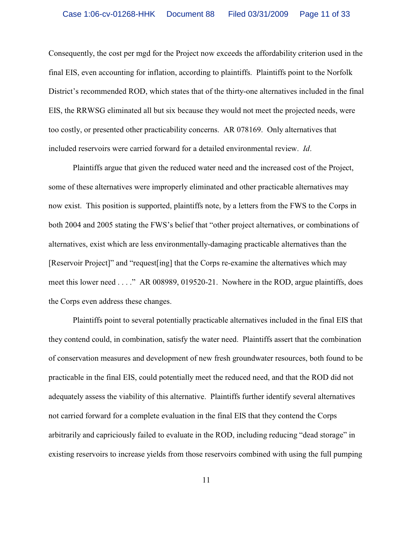Consequently, the cost per mgd for the Project now exceeds the affordability criterion used in the final EIS, even accounting for inflation, according to plaintiffs. Plaintiffs point to the Norfolk District's recommended ROD, which states that of the thirty-one alternatives included in the final EIS, the RRWSG eliminated all but six because they would not meet the projected needs, were too costly, or presented other practicability concerns. AR 078169. Only alternatives that included reservoirs were carried forward for a detailed environmental review. *Id*.

Plaintiffs argue that given the reduced water need and the increased cost of the Project, some of these alternatives were improperly eliminated and other practicable alternatives may now exist. This position is supported, plaintiffs note, by a letters from the FWS to the Corps in both 2004 and 2005 stating the FWS's belief that "other project alternatives, or combinations of alternatives, exist which are less environmentally-damaging practicable alternatives than the [Reservoir Project]" and "request[ing] that the Corps re-examine the alternatives which may meet this lower need . . . ." AR 008989, 019520-21. Nowhere in the ROD, argue plaintiffs, does the Corps even address these changes.

Plaintiffs point to several potentially practicable alternatives included in the final EIS that they contend could, in combination, satisfy the water need. Plaintiffs assert that the combination of conservation measures and development of new fresh groundwater resources, both found to be practicable in the final EIS, could potentially meet the reduced need, and that the ROD did not adequately assess the viability of this alternative.Plaintiffs further identify several alternatives not carried forward for a complete evaluation in the final EIS that they contend the Corps arbitrarily and capriciously failed to evaluate in the ROD, including reducing "dead storage" in existing reservoirs to increase yields from those reservoirs combined with using the full pumping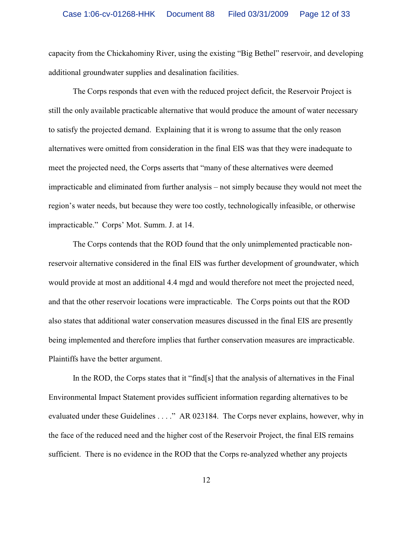capacity from the Chickahominy River, using the existing "Big Bethel" reservoir, and developing additional groundwater supplies and desalination facilities.

The Corps responds that even with the reduced project deficit, the Reservoir Project is still the only available practicable alternative that would produce the amount of water necessary to satisfy the projected demand. Explaining that it is wrong to assume that the only reason alternatives were omitted from consideration in the final EIS was that they were inadequate to meet the projected need, the Corps asserts that "many of these alternatives were deemed impracticable and eliminated from further analysis – not simply because they would not meet the region's water needs, but because they were too costly, technologically infeasible, or otherwise impracticable." Corps' Mot. Summ. J. at 14.

The Corps contends that the ROD found that the only unimplemented practicable nonreservoir alternative considered in the final EIS was further development of groundwater, which would provide at most an additional 4.4 mgd and would therefore not meet the projected need, and that the other reservoir locations were impracticable.The Corps points out that the ROD also states that additional water conservation measures discussed in the final EIS are presently being implemented and therefore implies that further conservation measures are impracticable. Plaintiffs have the better argument.

In the ROD, the Corps states that it "find[s] that the analysis of alternatives in the Final Environmental Impact Statement provides sufficient information regarding alternatives to be evaluated under these Guidelines . . . ." AR 023184. The Corps never explains, however, why in the face of the reduced need and the higher cost of the Reservoir Project, the final EIS remains sufficient. There is no evidence in the ROD that the Corps re-analyzed whether any projects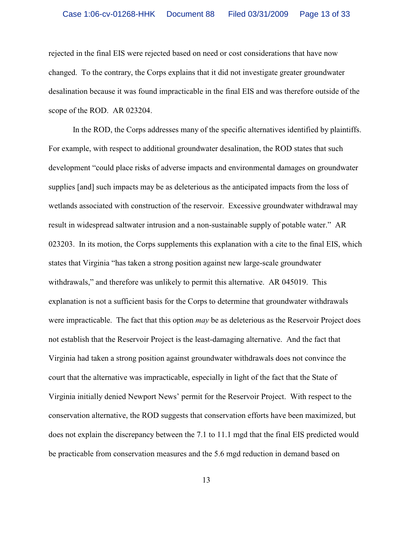rejected in the final EIS were rejected based on need or cost considerations that have now changed. To the contrary, the Corps explains that it did not investigate greater groundwater desalination because it was found impracticable in the final EIS and was therefore outside of the scope of the ROD. AR 023204.

In the ROD, the Corps addresses many of the specific alternatives identified by plaintiffs. For example, with respect to additional groundwater desalination, the ROD states that such development "could place risks of adverse impacts and environmental damages on groundwater supplies [and] such impacts may be as deleterious as the anticipated impacts from the loss of wetlands associated with construction of the reservoir. Excessive groundwater withdrawal may result in widespread saltwater intrusion and a non-sustainable supply of potable water." AR 023203. In its motion, the Corps supplements this explanation with a cite to the final EIS, which states that Virginia "has taken a strong position against new large-scale groundwater withdrawals," and therefore was unlikely to permit this alternative. AR 045019. This explanation is not a sufficient basis for the Corps to determine that groundwater withdrawals were impracticable. The fact that this option *may* be as deleterious as the Reservoir Project does not establish that the Reservoir Project is the least-damaging alternative. And the fact that Virginia had taken a strong position against groundwater withdrawals does not convince the court that the alternative was impracticable, especially in light of the fact that the State of Virginia initially denied Newport News' permit for the Reservoir Project. With respect to the conservation alternative, the ROD suggests that conservation efforts have been maximized, but does not explain the discrepancy between the 7.1 to 11.1 mgd that the final EIS predicted would be practicable from conservation measures and the 5.6 mgd reduction in demand based on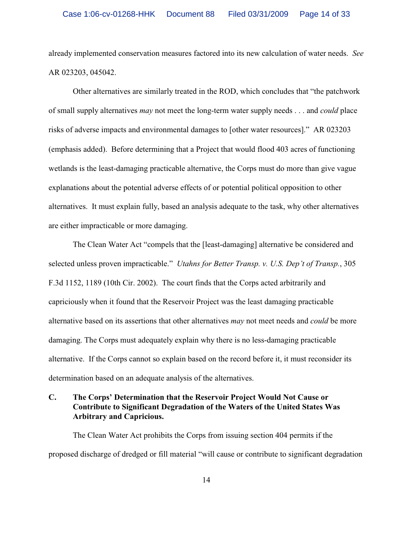already implemented conservation measures factored into its new calculation of water needs. *See* AR 023203, 045042.

Other alternatives are similarly treated in the ROD, which concludes that "the patchwork of small supply alternatives *may* not meet the long-term water supply needs . . . and *could* place risks of adverse impacts and environmental damages to [other water resources]."AR 023203 (emphasis added).Before determining that a Project that would flood 403 acres of functioning wetlands is the least-damaging practicable alternative, the Corps must do more than give vague explanations about the potential adverse effects of or potential political opposition to other alternatives. It must explain fully, based an analysis adequate to the task, why other alternatives are either impracticable or more damaging.

The Clean Water Act "compels that the [least-damaging] alternative be considered and selected unless proven impracticable." *Utahns for Better Transp. v. U.S. Dep't of Transp.*, 305 F.3d 1152, 1189 (10th Cir. 2002). The court finds that the Corps acted arbitrarily and capriciously when it found that the Reservoir Project was the least damaging practicable alternative based on its assertions that other alternatives *may* not meet needs and *could* be more damaging. The Corps must adequately explain why there is no less-damaging practicable alternative. If the Corps cannot so explain based on the record before it, it must reconsider its determination based on an adequate analysis of the alternatives.

# **C. The Corps' Determination that the Reservoir Project Would Not Cause or Contribute to Significant Degradation of the Waters of the United States Was Arbitrary and Capricious.**

The Clean Water Act prohibits the Corps from issuing section 404 permits if the proposed discharge of dredged or fill material "will cause or contribute to significant degradation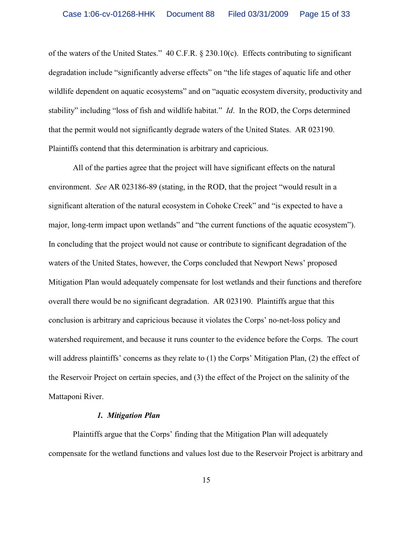of the waters of the United States." 40 C.F.R. § 230.10(c). Effects contributing to significant degradation include "significantly adverse effects" on "the life stages of aquatic life and other wildlife dependent on aquatic ecosystems" and on "aquatic ecosystem diversity, productivity and stability" including "loss of fish and wildlife habitat." *Id*. In the ROD, the Corps determined that the permit would not significantly degrade waters of the United States. AR 023190. Plaintiffs contend that this determination is arbitrary and capricious.

All of the parties agree that the project will have significant effects on the natural environment. *See* AR 023186-89 (stating, in the ROD, that the project "would result in a significant alteration of the natural ecosystem in Cohoke Creek" and "is expected to have a major, long-term impact upon wetlands" and "the current functions of the aquatic ecosystem"). In concluding that the project would not cause or contribute to significant degradation of the waters of the United States, however, the Corps concluded that Newport News' proposed Mitigation Plan would adequately compensate for lost wetlands and their functions and therefore overall there would be no significant degradation. AR 023190. Plaintiffs argue that this conclusion is arbitrary and capricious because it violates the Corps' no-net-loss policy and watershed requirement, and because it runs counter to the evidence before the Corps. The court will address plaintiffs' concerns as they relate to (1) the Corps' Mitigation Plan, (2) the effect of the Reservoir Project on certain species, and (3) the effect of the Project on the salinity of the Mattaponi River.

### *1. Mitigation Plan*

Plaintiffs argue that the Corps' finding that the Mitigation Plan will adequately compensate for the wetland functions and values lost due to the Reservoir Project is arbitrary and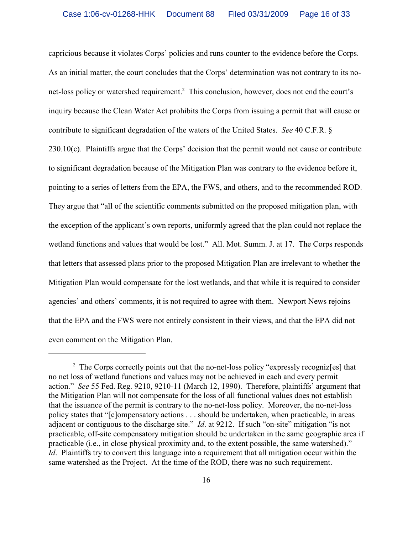capricious because it violates Corps' policies and runs counter to the evidence before the Corps. As an initial matter, the court concludes that the Corps' determination was not contrary to its nonet-loss policy or watershed requirement.<sup>2</sup> This conclusion, however, does not end the court's inquiry because the Clean Water Act prohibits the Corps from issuing a permit that will cause or contribute to significant degradation of the waters of the United States. *See* 40 C.F.R. § 230.10(c). Plaintiffs argue that the Corps' decision that the permit would not cause or contribute to significant degradation because of the Mitigation Plan was contrary to the evidence before it, pointing to a series of letters from the EPA, the FWS, and others, and to the recommended ROD. They argue that "all of the scientific comments submitted on the proposed mitigation plan, with the exception of the applicant's own reports, uniformly agreed that the plan could not replace the wetland functions and values that would be lost." All. Mot. Summ. J. at 17. The Corps responds that letters that assessed plans prior to the proposed Mitigation Plan are irrelevant to whether the Mitigation Plan would compensate for the lost wetlands, and that while it is required to consider agencies' and others' comments, it is not required to agree with them. Newport News rejoins that the EPA and the FWS were not entirely consistent in their views, and that the EPA did not even comment on the Mitigation Plan.

 $\frac{1}{2}$  The Corps correctly points out that the no-net-loss policy "expressly recognizes] that no net loss of wetland functions and values may not be achieved in each and every permit action." *See* 55 Fed. Reg. 9210, 9210-11 (March 12, 1990). Therefore, plaintiffs' argument that the Mitigation Plan will not compensate for the loss of all functional values does not establish that the issuance of the permit is contrary to the no-net-loss policy. Moreover, the no-net-loss policy states that "[c]ompensatory actions . . . should be undertaken, when practicable, in areas adjacent or contiguous to the discharge site." *Id*. at 9212. If such "on-site" mitigation "is not practicable, off-site compensatory mitigation should be undertaken in the same geographic area if practicable (i.e., in close physical proximity and, to the extent possible, the same watershed)." *Id.* Plaintiffs try to convert this language into a requirement that all mitigation occur within the same watershed as the Project. At the time of the ROD, there was no such requirement.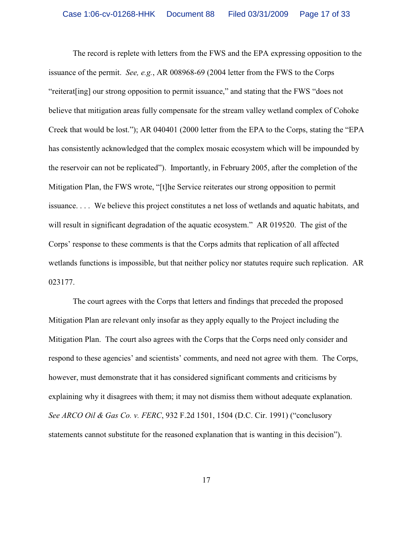The record is replete with letters from the FWS and the EPA expressing opposition to the issuance of the permit. *See, e.g.*, AR 008968-69 (2004 letter from the FWS to the Corps "reiterat[ing] our strong opposition to permit issuance," and stating that the FWS "does not believe that mitigation areas fully compensate for the stream valley wetland complex of Cohoke Creek that would be lost."); AR 040401 (2000 letter from the EPA to the Corps, stating the "EPA has consistently acknowledged that the complex mosaic ecosystem which will be impounded by the reservoir can not be replicated"). Importantly, in February 2005, after the completion of the Mitigation Plan, the FWS wrote, "[t]he Service reiterates our strong opposition to permit issuance. . . . We believe this project constitutes a net loss of wetlands and aquatic habitats, and will result in significant degradation of the aquatic ecosystem." AR 019520. The gist of the Corps' response to these comments is that the Corps admits that replication of all affected wetlands functions is impossible, but that neither policy nor statutes require such replication. AR 023177.

The court agrees with the Corps that letters and findings that preceded the proposed Mitigation Plan are relevant only insofar as they apply equally to the Project including the Mitigation Plan. The court also agrees with the Corps that the Corps need only consider and respond to these agencies' and scientists' comments, and need not agree with them. The Corps, however, must demonstrate that it has considered significant comments and criticisms by explaining why it disagrees with them; it may not dismiss them without adequate explanation. *See ARCO Oil & Gas Co. v. FERC*, 932 F.2d 1501, 1504 (D.C. Cir. 1991) ("conclusory statements cannot substitute for the reasoned explanation that is wanting in this decision").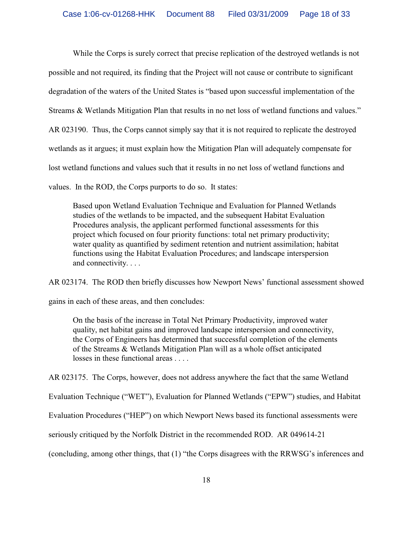While the Corps is surely correct that precise replication of the destroyed wetlands is not possible and not required, its finding that the Project will not cause or contribute to significant degradation of the waters of the United States is "based upon successful implementation of the Streams & Wetlands Mitigation Plan that results in no net loss of wetland functions and values." AR 023190. Thus, the Corps cannot simply say that it is not required to replicate the destroyed wetlands as it argues; it must explain how the Mitigation Plan will adequately compensate for lost wetland functions and values such that it results in no net loss of wetland functions and values. In the ROD, the Corps purports to do so. It states:

Based upon Wetland Evaluation Technique and Evaluation for Planned Wetlands studies of the wetlands to be impacted, and the subsequent Habitat Evaluation Procedures analysis, the applicant performed functional assessments for this project which focused on four priority functions: total net primary productivity; water quality as quantified by sediment retention and nutrient assimilation; habitat functions using the Habitat Evaluation Procedures; and landscape interspersion and connectivity. . . .

AR 023174. The ROD then briefly discusses how Newport News' functional assessment showed

gains in each of these areas, and then concludes:

On the basis of the increase in Total Net Primary Productivity, improved water quality, net habitat gains and improved landscape interspersion and connectivity, the Corps of Engineers has determined that successful completion of the elements of the Streams & Wetlands Mitigation Plan will as a whole offset anticipated losses in these functional areas . . . .

AR 023175. The Corps, however, does not address anywhere the fact that the same Wetland

Evaluation Technique ("WET"), Evaluation for Planned Wetlands ("EPW") studies, and Habitat

Evaluation Procedures ("HEP") on which Newport News based its functional assessments were

seriously critiqued by the Norfolk District in the recommended ROD. AR 049614-21

(concluding, among other things, that (1) "the Corps disagrees with the RRWSG's inferences and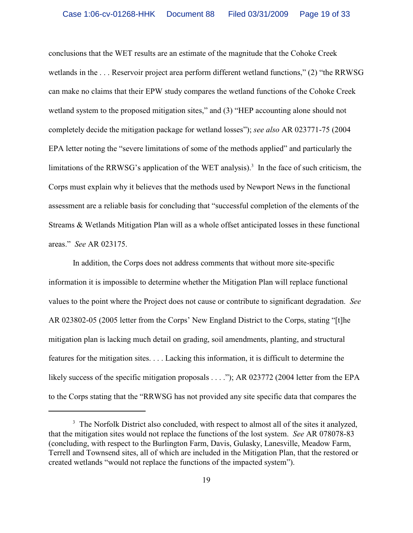conclusions that the WET results are an estimate of the magnitude that the Cohoke Creek wetlands in the . . . Reservoir project area perform different wetland functions," (2) "the RRWSG can make no claims that their EPW study compares the wetland functions of the Cohoke Creek wetland system to the proposed mitigation sites," and (3) "HEP accounting alone should not completely decide the mitigation package for wetland losses"); *see also* AR 023771-75 (2004 EPA letter noting the "severe limitations of some of the methods applied" and particularly the limitations of the RRWSG's application of the WET analysis).<sup>3</sup> In the face of such criticism, the Corps must explain why it believes that the methods used by Newport News in the functional assessment are a reliable basis for concluding that "successful completion of the elements of the Streams & Wetlands Mitigation Plan will as a whole offset anticipated losses in these functional areas." *See* AR 023175.

In addition, the Corps does not address comments that without more site-specific information it is impossible to determine whether the Mitigation Plan will replace functional values to the point where the Project does not cause or contribute to significant degradation. *See* AR 023802-05 (2005 letter from the Corps' New England District to the Corps, stating "[t]he mitigation plan is lacking much detail on grading, soil amendments, planting, and structural features for the mitigation sites. . . . Lacking this information, it is difficult to determine the likely success of the specific mitigation proposals . . . ."); AR 023772 (2004 letter from the EPA to the Corps stating that the "RRWSG has not provided any site specific data that compares the

<sup>&</sup>lt;sup>3</sup> The Norfolk District also concluded, with respect to almost all of the sites it analyzed, that the mitigation sites would not replace the functions of the lost system. *See* AR 078078-83 (concluding, with respect to the Burlington Farm, Davis, Gulasky, Lanesville, Meadow Farm, Terrell and Townsend sites, all of which are included in the Mitigation Plan, that the restored or created wetlands "would not replace the functions of the impacted system").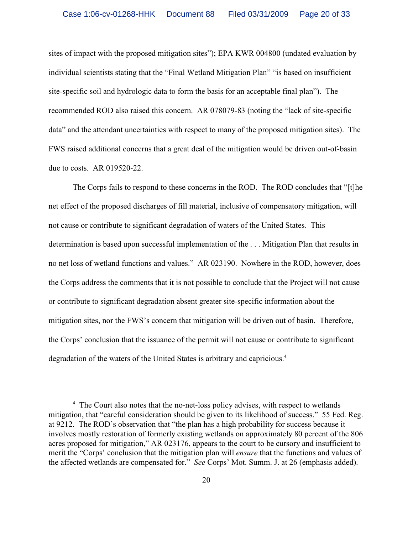sites of impact with the proposed mitigation sites"); EPA KWR 004800 (undated evaluation by individual scientists stating that the "Final Wetland Mitigation Plan" "is based on insufficient site-specific soil and hydrologic data to form the basis for an acceptable final plan"). The recommended ROD also raised this concern. AR 078079-83 (noting the "lack of site-specific data" and the attendant uncertainties with respect to many of the proposed mitigation sites).The FWS raised additional concerns that a great deal of the mitigation would be driven out-of-basin due to costs. AR 019520-22.

The Corps fails to respond to these concerns in the ROD. The ROD concludes that "[t]he net effect of the proposed discharges of fill material, inclusive of compensatory mitigation, will not cause or contribute to significant degradation of waters of the United States. This determination is based upon successful implementation of the . . . Mitigation Plan that results in no net loss of wetland functions and values." AR 023190. Nowhere in the ROD, however, does the Corps address the comments that it is not possible to conclude that the Project will not cause or contribute to significant degradation absent greater site-specific information about the mitigation sites, nor the FWS's concern that mitigation will be driven out of basin. Therefore, the Corps' conclusion that the issuance of the permit will not cause or contribute to significant degradation of the waters of the United States is arbitrary and capricious.<sup>4</sup>

<sup>&</sup>lt;sup>4</sup> The Court also notes that the no-net-loss policy advises, with respect to wetlands mitigation, that "careful consideration should be given to its likelihood of success." 55 Fed. Reg. at 9212. The ROD's observation that "the plan has a high probability for success because it involves mostly restoration of formerly existing wetlands on approximately 80 percent of the 806 acres proposed for mitigation," AR 023176, appears to the court to be cursory and insufficient to merit the "Corps' conclusion that the mitigation plan will *ensure* that the functions and values of the affected wetlands are compensated for." *See* Corps' Mot. Summ. J. at 26 (emphasis added).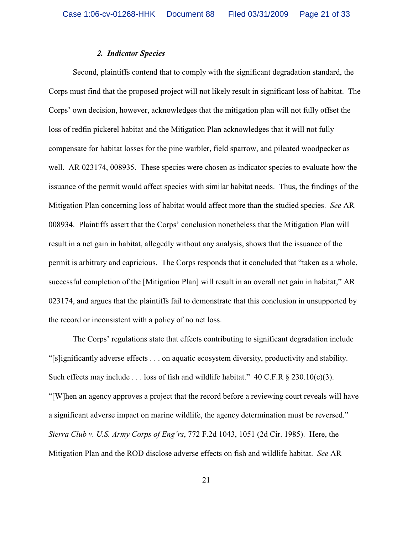### *2. Indicator Species*

Second, plaintiffs contend that to comply with the significant degradation standard, the Corps must find that the proposed project will not likely result in significant loss of habitat. The Corps' own decision, however, acknowledges that the mitigation plan will not fully offset the loss of redfin pickerel habitat and the Mitigation Plan acknowledges that it will not fully compensate for habitat losses for the pine warbler, field sparrow, and pileated woodpecker as well. AR 023174, 008935. These species were chosen as indicator species to evaluate how the issuance of the permit would affect species with similar habitat needs. Thus, the findings of the Mitigation Plan concerning loss of habitat would affect more than the studied species. *See* AR 008934. Plaintiffs assert that the Corps' conclusion nonetheless that the Mitigation Plan will result in a net gain in habitat, allegedly without any analysis, shows that the issuance of the permit is arbitrary and capricious. The Corps responds that it concluded that "taken as a whole, successful completion of the [Mitigation Plan] will result in an overall net gain in habitat," AR 023174, and argues that the plaintiffs fail to demonstrate that this conclusion in unsupported by the record or inconsistent with a policy of no net loss.

The Corps' regulations state that effects contributing to significant degradation include "[s]ignificantly adverse effects . . . on aquatic ecosystem diversity, productivity and stability. Such effects may include . . . loss of fish and wildlife habitat."  $40 \text{ C.F.R } \S$  230.10(c)(3). "[W]hen an agency approves a project that the record before a reviewing court reveals will have a significant adverse impact on marine wildlife, the agency determination must be reversed." *Sierra Club v. U.S. Army Corps of Eng'rs*, 772 F.2d 1043, 1051 (2d Cir. 1985). Here, the Mitigation Plan and the ROD disclose adverse effects on fish and wildlife habitat. *See* AR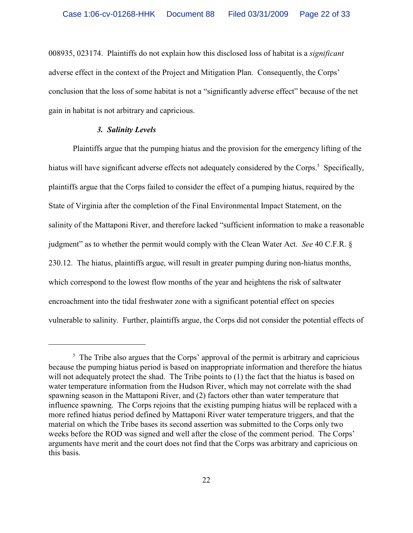008935, 023174. Plaintiffs do not explain how this disclosed loss of habitat is a *significant* adverse effect in the context of the Project and Mitigation Plan. Consequently, the Corps' conclusion that the loss of some habitat is not a "significantly adverse effect" because of the net gain in habitat is not arbitrary and capricious.

### *3. Salinity Levels*

Plaintiffs argue that the pumping hiatus and the provision for the emergency lifting of the hiatus will have significant adverse effects not adequately considered by the Corps.<sup>5</sup> Specifically, plaintiffs argue that the Corps failed to consider the effect of a pumping hiatus, required by the State of Virginia after the completion of the Final Environmental Impact Statement, on the salinity of the Mattaponi River, and therefore lacked "sufficient information to make a reasonable judgment" as to whether the permit would comply with the Clean Water Act. *See* 40 C.F.R. § 230.12. The hiatus, plaintiffs argue, will result in greater pumping during non-hiatus months, which correspond to the lowest flow months of the year and heightens the risk of saltwater encroachment into the tidal freshwater zone with a significant potential effect on species vulnerable to salinity. Further, plaintiffs argue, the Corps did not consider the potential effects of

 $\frac{5}{5}$  The Tribe also argues that the Corps' approval of the permit is arbitrary and capricious because the pumping hiatus period is based on inappropriate information and therefore the hiatus will not adequately protect the shad. The Tribe points to (1) the fact that the hiatus is based on water temperature information from the Hudson River, which may not correlate with the shad spawning season in the Mattaponi River, and (2) factors other than water temperature that influence spawning. The Corps rejoins that the existing pumping hiatus will be replaced with a more refined hiatus period defined by Mattaponi River water temperature triggers, and that the material on which the Tribe bases its second assertion was submitted to the Corps only two weeks before the ROD was signed and well after the close of the comment period.The Corps' arguments have merit and the court does not find that the Corps was arbitrary and capricious on this basis.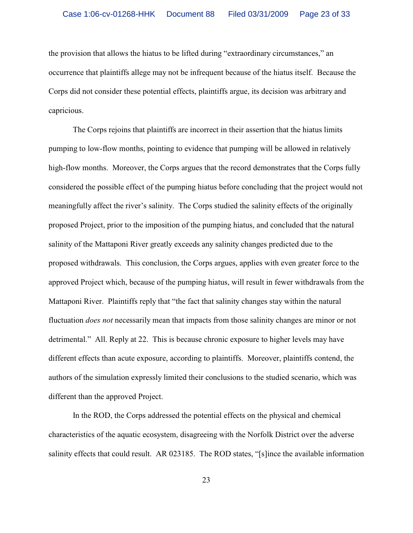the provision that allows the hiatus to be lifted during "extraordinary circumstances," an occurrence that plaintiffs allege may not be infrequent because of the hiatus itself. Because the Corps did not consider these potential effects, plaintiffs argue, its decision was arbitrary and capricious.

The Corps rejoins that plaintiffs are incorrect in their assertion that the hiatus limits pumping to low-flow months, pointing to evidence that pumping will be allowed in relatively high-flow months. Moreover, the Corps argues that the record demonstrates that the Corps fully considered the possible effect of the pumping hiatus before concluding that the project would not meaningfully affect the river's salinity. The Corps studied the salinity effects of the originally proposed Project, prior to the imposition of the pumping hiatus, and concluded that the natural salinity of the Mattaponi River greatly exceeds any salinity changes predicted due to the proposed withdrawals. This conclusion, the Corps argues, applies with even greater force to the approved Project which, because of the pumping hiatus, will result in fewer withdrawals from the Mattaponi River. Plaintiffs reply that "the fact that salinity changes stay within the natural fluctuation *does not* necessarily mean that impacts from those salinity changes are minor or not detrimental." All. Reply at 22. This is because chronic exposure to higher levels may have different effects than acute exposure, according to plaintiffs. Moreover, plaintiffs contend, the authors of the simulation expressly limited their conclusions to the studied scenario, which was different than the approved Project.

In the ROD, the Corps addressed the potential effects on the physical and chemical characteristics of the aquatic ecosystem, disagreeing with the Norfolk District over the adverse salinity effects that could result. AR 023185. The ROD states, "[s]ince the available information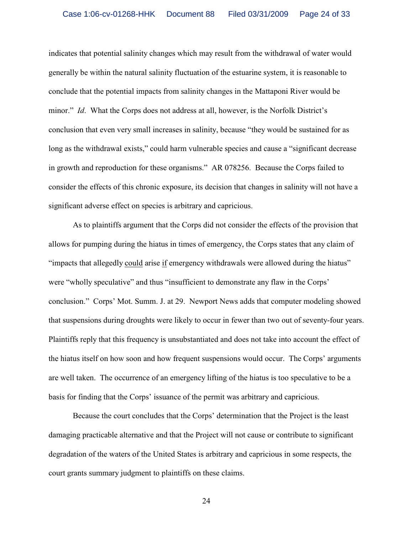indicates that potential salinity changes which may result from the withdrawal of water would generally be within the natural salinity fluctuation of the estuarine system, it is reasonable to conclude that the potential impacts from salinity changes in the Mattaponi River would be minor." *Id*. What the Corps does not address at all, however, is the Norfolk District's conclusion that even very small increases in salinity, because "they would be sustained for as long as the withdrawal exists," could harm vulnerable species and cause a "significant decrease" in growth and reproduction for these organisms." AR 078256. Because the Corps failed to consider the effects of this chronic exposure, its decision that changes in salinity will not have a significant adverse effect on species is arbitrary and capricious.

As to plaintiffs argument that the Corps did not consider the effects of the provision that allows for pumping during the hiatus in times of emergency, the Corps states that any claim of "impacts that allegedly could arise if emergency withdrawals were allowed during the hiatus" were "wholly speculative" and thus "insufficient to demonstrate any flaw in the Corps' conclusion." Corps' Mot. Summ. J. at 29. Newport News adds that computer modeling showed that suspensions during droughts were likely to occur in fewer than two out of seventy-four years. Plaintiffs reply that this frequency is unsubstantiated and does not take into account the effect of the hiatus itself on how soon and how frequent suspensions would occur.The Corps' arguments are well taken. The occurrence of an emergency lifting of the hiatus is too speculative to be a basis for finding that the Corps' issuance of the permit was arbitrary and capricious.

Because the court concludes that the Corps' determination that the Project is the least damaging practicable alternative and that the Project will not cause or contribute to significant degradation of the waters of the United States is arbitrary and capricious in some respects, the court grants summary judgment to plaintiffs on these claims.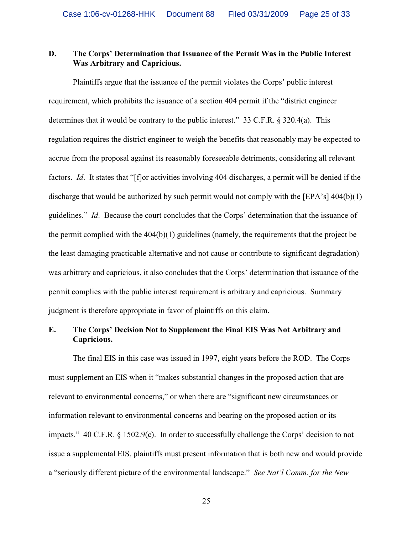# **D. The Corps' Determination that Issuance of the Permit Was in the Public Interest Was Arbitrary and Capricious.**

Plaintiffs argue that the issuance of the permit violates the Corps' public interest requirement, which prohibits the issuance of a section 404 permit if the "district engineer determines that it would be contrary to the public interest." 33 C.F.R. § 320.4(a). This regulation requires the district engineer to weigh the benefits that reasonably may be expected to accrue from the proposal against its reasonably foreseeable detriments, considering all relevant factors. *Id.* It states that "[f]or activities involving 404 discharges, a permit will be denied if the discharge that would be authorized by such permit would not comply with the [EPA's]  $404(b)(1)$ guidelines." *Id*. Because the court concludes that the Corps' determination that the issuance of the permit complied with the 404(b)(1) guidelines (namely, the requirements that the project be the least damaging practicable alternative and not cause or contribute to significant degradation) was arbitrary and capricious, it also concludes that the Corps' determination that issuance of the permit complies with the public interest requirement is arbitrary and capricious. Summary judgment is therefore appropriate in favor of plaintiffs on this claim.

# **E. The Corps' Decision Not to Supplement the Final EIS Was Not Arbitrary and Capricious.**

The final EIS in this case was issued in 1997, eight years before the ROD. The Corps must supplement an EIS when it "makes substantial changes in the proposed action that are relevant to environmental concerns," or when there are "significant new circumstances or information relevant to environmental concerns and bearing on the proposed action or its impacts."  $40 \text{ C.F.R. } \S 1502.9(c)$ . In order to successfully challenge the Corps' decision to not issue a supplemental EIS, plaintiffs must present information that is both new and would provide a "seriously different picture of the environmental landscape." *See Nat'l Comm. for the New*

25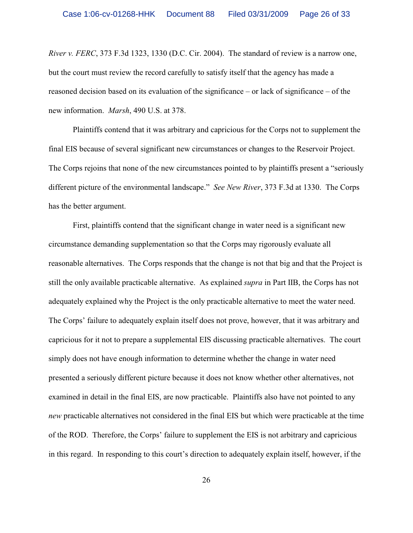*River v. FERC*, 373 F.3d 1323, 1330 (D.C. Cir. 2004). The standard of review is a narrow one, but the court must review the record carefully to satisfy itself that the agency has made a reasoned decision based on its evaluation of the significance – or lack of significance – of the new information. *Marsh*, 490 U.S. at 378.

Plaintiffs contend that it was arbitrary and capricious for the Corps not to supplement the final EIS because of several significant new circumstances or changes to the Reservoir Project. The Corps rejoins that none of the new circumstances pointed to by plaintiffs present a "seriously different picture of the environmental landscape." *See New River*, 373 F.3d at 1330. The Corps has the better argument.

First, plaintiffs contend that the significant change in water need is a significant new circumstance demanding supplementation so that the Corps may rigorously evaluate all reasonable alternatives. The Corps responds that the change is not that big and that the Project is still the only available practicable alternative. As explained *supra* in Part IIB, the Corps has not adequately explained why the Project is the only practicable alternative to meet the water need. The Corps' failure to adequately explain itself does not prove, however, that it was arbitrary and capricious for it not to prepare a supplemental EIS discussing practicable alternatives. The court simply does not have enough information to determine whether the change in water need presented a seriously different picture because it does not know whether other alternatives, not examined in detail in the final EIS, are now practicable. Plaintiffs also have not pointed to any *new* practicable alternatives not considered in the final EIS but which were practicable at the time of the ROD. Therefore, the Corps' failure to supplement the EIS is not arbitrary and capricious in this regard. In responding to this court's direction to adequately explain itself, however, if the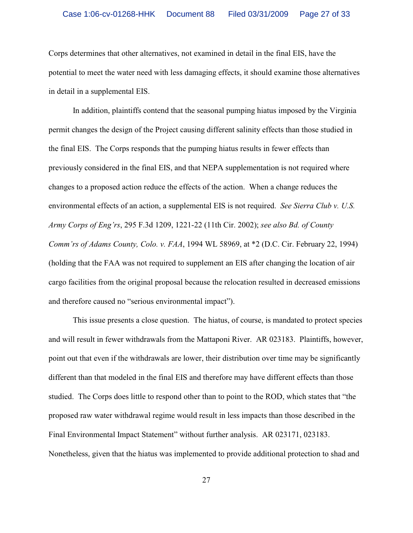Corps determines that other alternatives, not examined in detail in the final EIS, have the potential to meet the water need with less damaging effects, it should examine those alternatives in detail in a supplemental EIS.

In addition, plaintiffs contend that the seasonal pumping hiatus imposed by the Virginia permit changes the design of the Project causing different salinity effects than those studied in the final EIS. The Corps responds that the pumping hiatus results in fewer effects than previously considered in the final EIS, and that NEPA supplementation is not required where changes to a proposed action reduce the effects of the action. When a change reduces the environmental effects of an action, a supplemental EIS is not required. *See Sierra Club v. U.S. Army Corps of Eng'rs*, 295 F.3d 1209, 1221-22 (11th Cir. 2002); *see also Bd. of County Comm'rs of Adams County, Colo. v. FAA*, 1994 WL 58969, at \*2 (D.C. Cir. February 22, 1994) (holding that the FAA was not required to supplement an EIS after changing the location of air cargo facilities from the original proposal because the relocation resulted in decreased emissions and therefore caused no "serious environmental impact").

This issue presents a close question. The hiatus, of course, is mandated to protect species and will result in fewer withdrawals from the Mattaponi River. AR 023183. Plaintiffs, however, point out that even if the withdrawals are lower, their distribution over time may be significantly different than that modeled in the final EIS and therefore may have different effects than those studied. The Corps does little to respond other than to point to the ROD, which states that "the proposed raw water withdrawal regime would result in less impacts than those described in the Final Environmental Impact Statement" without further analysis. AR 023171, 023183. Nonetheless, given that the hiatus was implemented to provide additional protection to shad and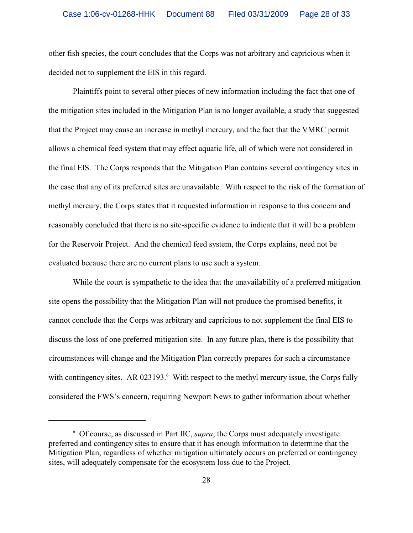other fish species, the court concludes that the Corps was not arbitrary and capricious when it decided not to supplement the EIS in this regard.

Plaintiffs point to several other pieces of new information including the fact that one of the mitigation sites included in the Mitigation Plan is no longer available, a study that suggested that the Project may cause an increase in methyl mercury, and the fact that the VMRC permit allows a chemical feed system that may effect aquatic life, all of which were not considered in the final EIS. The Corps responds that the Mitigation Plan contains several contingency sites in the case that any of its preferred sites are unavailable. With respect to the risk of the formation of methyl mercury, the Corps states that it requested information in response to this concern and reasonably concluded that there is no site-specific evidence to indicate that it will be a problem for the Reservoir Project. And the chemical feed system, the Corps explains, need not be evaluated because there are no current plans to use such a system.

While the court is sympathetic to the idea that the unavailability of a preferred mitigation site opens the possibility that the Mitigation Plan will not produce the promised benefits, it cannot conclude that the Corps was arbitrary and capricious to not supplement the final EIS to discuss the loss of one preferred mitigation site. In any future plan, there is the possibility that circumstances will change and the Mitigation Plan correctly prepares for such a circumstance with contingency sites. AR 023193. $<sup>6</sup>$  With respect to the methyl mercury issue, the Corps fully</sup> considered the FWS's concern, requiring Newport News to gather information about whether

 $6$  Of course, as discussed in Part IIC, *supra*, the Corps must adequately investigate preferred and contingency sites to ensure that it has enough information to determine that the Mitigation Plan, regardless of whether mitigation ultimately occurs on preferred or contingency sites, will adequately compensate for the ecosystem loss due to the Project.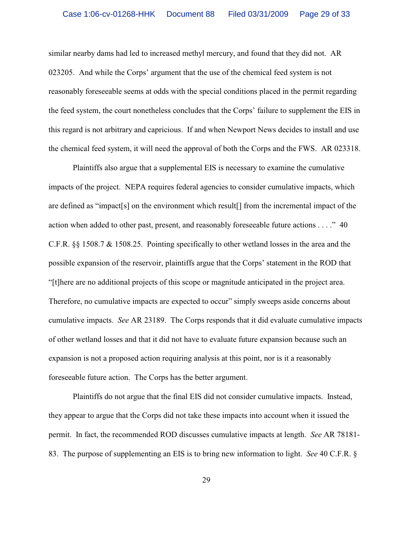similar nearby dams had led to increased methyl mercury, and found that they did not. AR 023205. And while the Corps' argument that the use of the chemical feed system is not reasonably foreseeable seems at odds with the special conditions placed in the permit regarding the feed system, the court nonetheless concludes that the Corps' failure to supplement the EIS in this regard is not arbitrary and capricious. If and when Newport News decides to install and use the chemical feed system, it will need the approval of both the Corps and the FWS. AR 023318.

Plaintiffs also argue that a supplemental EIS is necessary to examine the cumulative impacts of the project. NEPA requires federal agencies to consider cumulative impacts, which are defined as "impact[s] on the environment which result[] from the incremental impact of the action when added to other past, present, and reasonably foreseeable future actions . . . ." 40 C.F.R. §§ 1508.7 & 1508.25. Pointing specifically to other wetland losses in the area and the possible expansion of the reservoir, plaintiffs argue that the Corps' statement in the ROD that "[t]here are no additional projects of this scope or magnitude anticipated in the project area. Therefore, no cumulative impacts are expected to occur" simply sweeps aside concerns about cumulative impacts. *See* AR 23189. The Corps responds that it did evaluate cumulative impacts of other wetland losses and that it did not have to evaluate future expansion because such an expansion is not a proposed action requiring analysis at this point, nor is it a reasonably foreseeable future action. The Corps has the better argument.

Plaintiffs do not argue that the final EIS did not consider cumulative impacts. Instead, they appear to argue that the Corps did not take these impacts into account when it issued the permit. In fact, the recommended ROD discusses cumulative impacts at length. *See* AR 78181- 83. The purpose of supplementing an EIS is to bring new information to light. *See* 40 C.F.R. §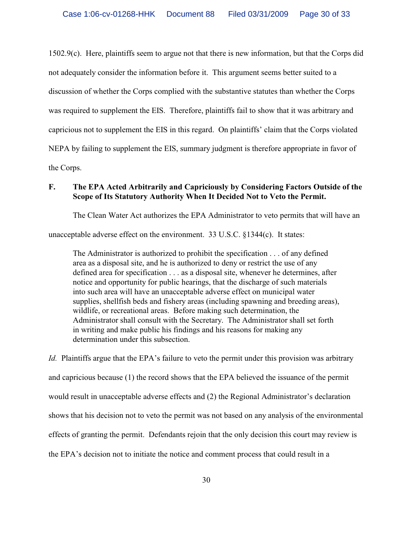1502.9(c). Here, plaintiffs seem to argue not that there is new information, but that the Corps did not adequately consider the information before it. This argument seems better suited to a discussion of whether the Corps complied with the substantive statutes than whether the Corps was required to supplement the EIS. Therefore, plaintiffs fail to show that it was arbitrary and capricious not to supplement the EIS in this regard. On plaintiffs' claim that the Corps violated NEPA by failing to supplement the EIS, summary judgment is therefore appropriate in favor of the Corps.

## **F. The EPA Acted Arbitrarily and Capriciously by Considering Factors Outside of the Scope of Its Statutory Authority When It Decided Not to Veto the Permit.**

The Clean Water Act authorizes the EPA Administrator to veto permits that will have an

unacceptable adverse effect on the environment. 33 U.S.C. §1344(c). It states:

The Administrator is authorized to prohibit the specification . . . of any defined area as a disposal site, and he is authorized to deny or restrict the use of any defined area for specification . . . as a disposal site, whenever he determines, after notice and opportunity for public hearings, that the discharge of such materials into such area will have an unacceptable adverse effect on municipal water supplies, shellfish beds and fishery areas (including spawning and breeding areas), wildlife, or recreational areas. Before making such determination, the Administrator shall consult with the Secretary. The Administrator shall set forth in writing and make public his findings and his reasons for making any determination under this subsection.

*Id.* Plaintiffs argue that the EPA's failure to veto the permit under this provision was arbitrary and capricious because (1) the record shows that the EPA believed the issuance of the permit would result in unacceptable adverse effects and (2) the Regional Administrator's declaration shows that his decision not to veto the permit was not based on any analysis of the environmental effects of granting the permit.Defendants rejoin that the only decision this court may review is the EPA's decision not to initiate the notice and comment process that could result in a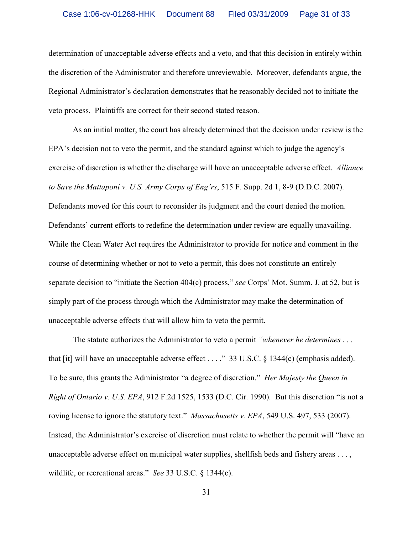determination of unacceptable adverse effects and a veto, and that this decision in entirely within the discretion of the Administrator and therefore unreviewable. Moreover, defendants argue, the Regional Administrator's declaration demonstrates that he reasonably decided not to initiate the veto process. Plaintiffs are correct for their second stated reason.

As an initial matter, the court has already determined that the decision under review is the EPA's decision not to veto the permit, and the standard against which to judge the agency's exercise of discretion is whether the discharge will have an unacceptable adverse effect. *Alliance to Save the Mattaponi v. U.S. Army Corps of Eng'rs*, 515 F. Supp. 2d 1, 8-9 (D.D.C. 2007). Defendants moved for this court to reconsider its judgment and the court denied the motion. Defendants' current efforts to redefine the determination under review are equally unavailing. While the Clean Water Act requires the Administrator to provide for notice and comment in the course of determining whether or not to veto a permit, this does not constitute an entirely separate decision to "initiate the Section 404(c) process," *see* Corps' Mot. Summ. J. at 52, but is simply part of the process through which the Administrator may make the determination of unacceptable adverse effects that will allow him to veto the permit.

The statute authorizes the Administrator to veto a permit *"whenever he determines* . . . that [it] will have an unacceptable adverse effect . . . ." 33 U.S.C. § 1344(c) (emphasis added). To be sure, this grants the Administrator "a degree of discretion." *Her Majesty the Queen in Right of Ontario v. U.S. EPA*, 912 F.2d 1525, 1533 (D.C. Cir. 1990). But this discretion "is not a roving license to ignore the statutory text." *Massachusetts v. EPA*, 549 U.S. 497, 533 (2007). Instead, the Administrator's exercise of discretion must relate to whether the permit will "have an unacceptable adverse effect on municipal water supplies, shellfish beds and fishery areas . . . , wildlife, or recreational areas." *See* 33 U.S.C. § 1344(c).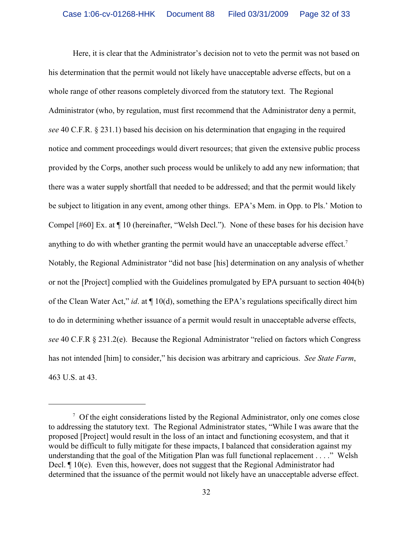Here, it is clear that the Administrator's decision not to veto the permit was not based on his determination that the permit would not likely have unacceptable adverse effects, but on a whole range of other reasons completely divorced from the statutory text. The Regional Administrator (who, by regulation, must first recommend that the Administrator deny a permit, *see* 40 C.F.R. § 231.1) based his decision on his determination that engaging in the required notice and comment proceedings would divert resources; that given the extensive public process provided by the Corps, another such process would be unlikely to add any new information; that there was a water supply shortfall that needed to be addressed; and that the permit would likely be subject to litigation in any event, among other things. EPA's Mem. in Opp. to Pls.' Motion to Compel [#60] Ex. at ¶ 10 (hereinafter, "Welsh Decl."). None of these bases for his decision have anything to do with whether granting the permit would have an unacceptable adverse effect.<sup>7</sup> Notably, the Regional Administrator "did not base [his] determination on any analysis of whether or not the [Project] complied with the Guidelines promulgated by EPA pursuant to section 404(b) of the Clean Water Act," *id*. at ¶ 10(d), something the EPA's regulations specifically direct him to do in determining whether issuance of a permit would result in unacceptable adverse effects, *see* 40 C.F.R § 231.2(e). Because the Regional Administrator "relied on factors which Congress has not intended [him] to consider," his decision was arbitrary and capricious. *See State Farm*, 463 U.S. at 43.

 $\sigma$  Of the eight considerations listed by the Regional Administrator, only one comes close to addressing the statutory text. The Regional Administrator states, "While I was aware that the proposed [Project] would result in the loss of an intact and functioning ecosystem, and that it would be difficult to fully mitigate for these impacts, I balanced that consideration against my understanding that the goal of the Mitigation Plan was full functional replacement . . . ." Welsh Decl. ¶ 10(e). Even this, however, does not suggest that the Regional Administrator had determined that the issuance of the permit would not likely have an unacceptable adverse effect.